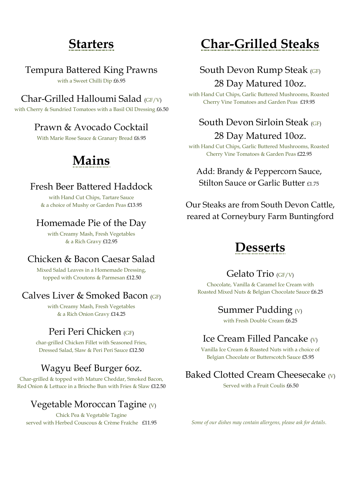## **Starters**

#### Tempura Battered King Prawns

with a Sweet Chilli Dip £6.95

#### Char-Grilled Halloumi Salad (GF/V)

with Cherry & Sundried Tomatoes with a Basil Oil Dressing £6.50

#### Prawn & Avocado Cocktail

With Marie Rose Sauce & Granary Bread £6.95

## **Mains**

#### Fresh Beer Battered Haddock

with Hand Cut Chips, Tartare Sauce & a choice of Mushy or Garden Peas £13.95

#### Homemade Pie of the Day

with Creamy Mash, Fresh Vegetables & a Rich Gravy £12.95

#### Chicken & Bacon Caesar Salad

Mixed Salad Leaves in a Homemade Dressing, topped with Croutons & Parmesan £12.50

#### Calves Liver & Smoked Bacon (GF)

with Creamy Mash, Fresh Vegetables & a Rich Onion Gravy £14.25

#### Peri Peri Chicken (GF)

char-grilled Chicken Fillet with Seasoned Fries, Dressed Salad, Slaw & Peri Peri Sauce £12.50

#### Wagyu Beef Burger 6oz.

Char-grilled & topped with Mature Cheddar, Smoked Bacon, Red Onion & Lettuce in a Brioche Bun with Fries & Slaw £12.50

#### Vegetable Moroccan Tagine  $(V)$

Chick Pea & Vegetable Tagine served with Herbed Couscous & Crème Fraîche £11.95

## **Char-Grilled Steaks**

### South Devon Rump Steak (GF) 28 Day Matured 10oz.

with Hand Cut Chips, Garlic Buttered Mushrooms, Roasted Cherry Vine Tomatoes and Garden Peas £19.95

### South Devon Sirloin Steak (GF) 28 Day Matured 10oz.

with Hand Cut Chips, Garlic Buttered Mushrooms, Roasted Cherry Vine Tomatoes & Garden Peas £22.95

#### Add: Brandy & Peppercorn Sauce, Stilton Sauce or Garlic Butter £1.75

Our Steaks are from South Devon Cattle, reared at Corneybury Farm Buntingford

### **Desserts**

#### Gelato Trio (GF/V)

Chocolate, Vanilla & Caramel Ice Cream with Roasted Mixed Nuts & Belgian Chocolate Sauce £6.25

#### Summer Pudding  $(V)$

with Fresh Double Cream £6.25

#### Ice Cream Filled Pancake  $\omega$

Vanilla Ice Cream & Roasted Nuts with a choice of Belgian Chocolate or Butterscotch Sauce £5.95

#### Baked Clotted Cream Cheesecake (V)

Served with a Fruit Coulis £6.50

*Some of our dishes may contain allergens, please ask for details.*